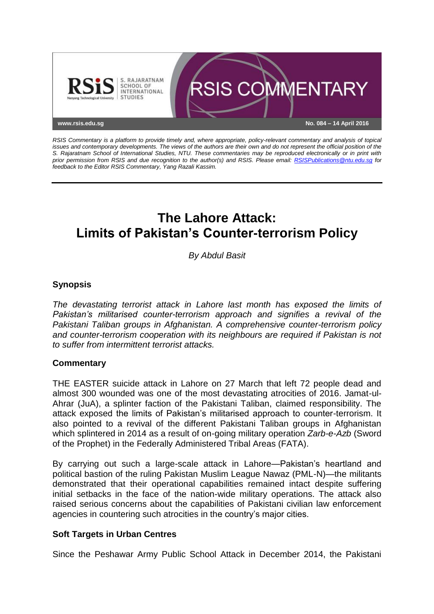

*RSIS Commentary is a platform to provide timely and, where appropriate, policy-relevant commentary and analysis of topical issues and contemporary developments. The views of the authors are their own and do not represent the official position of the S. Rajaratnam School of International Studies, NTU. These commentaries may be reproduced electronically or in print with prior permission from RSIS and due recognition to the author(s) and RSIS. Please email: [RSISPublications@ntu.edu.sg](mailto:RSISPublications@ntu.edu.sg) for feedback to the Editor RSIS Commentary, Yang Razali Kassim.*

# **The Lahore Attack: Limits of Pakistan's Counter-terrorism Policy**

*By Abdul Basit*

## **Synopsis**

*The devastating terrorist attack in Lahore last month has exposed the limits of Pakistan's militarised counter-terrorism approach and signifies a revival of the Pakistani Taliban groups in Afghanistan. A comprehensive counter-terrorism policy and counter-terrorism cooperation with its neighbours are required if Pakistan is not to suffer from intermittent terrorist attacks.*

#### **Commentary**

THE EASTER suicide attack in Lahore on 27 March that left 72 people dead and almost 300 wounded was one of the most devastating atrocities of 2016. Jamat-ul-Ahrar (JuA), a splinter faction of the Pakistani Taliban, claimed responsibility. The attack exposed the limits of Pakistan's militarised approach to counter-terrorism. It also pointed to a revival of the different Pakistani Taliban groups in Afghanistan which splintered in 2014 as a result of on-going military operation *Zarb-e-Azb* (Sword of the Prophet) in the Federally Administered Tribal Areas (FATA).

By carrying out such a large-scale attack in Lahore—Pakistan's heartland and political bastion of the ruling Pakistan Muslim League Nawaz (PML-N)—the militants demonstrated that their operational capabilities remained intact despite suffering initial setbacks in the face of the nation-wide military operations. The attack also raised serious concerns about the capabilities of Pakistani civilian law enforcement agencies in countering such atrocities in the country's major cities.

#### **Soft Targets in Urban Centres**

Since the Peshawar Army Public School Attack in December 2014, the Pakistani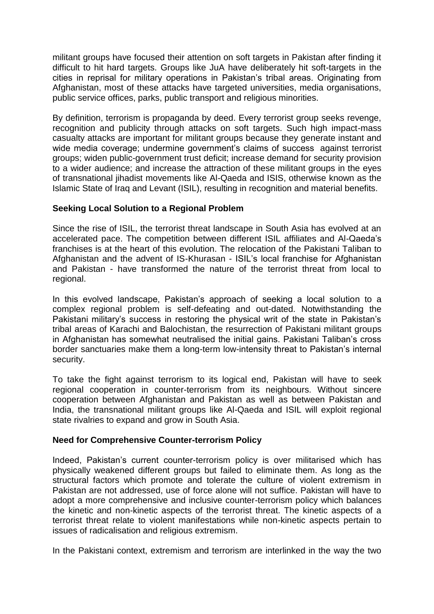militant groups have focused their attention on soft targets in Pakistan after finding it difficult to hit hard targets. Groups like JuA have deliberately hit soft-targets in the cities in reprisal for military operations in Pakistan's tribal areas. Originating from Afghanistan, most of these attacks have targeted universities, media organisations, public service offices, parks, public transport and religious minorities.

By definition, terrorism is propaganda by deed. Every terrorist group seeks revenge, recognition and publicity through attacks on soft targets. Such high impact-mass casualty attacks are important for militant groups because they generate instant and wide media coverage; undermine government's claims of success against terrorist groups; widen public-government trust deficit; increase demand for security provision to a wider audience; and increase the attraction of these militant groups in the eyes of transnational jihadist movements like Al-Qaeda and ISIS, otherwise known as the Islamic State of Iraq and Levant (ISIL), resulting in recognition and material benefits.

### **Seeking Local Solution to a Regional Problem**

Since the rise of ISIL, the terrorist threat landscape in South Asia has evolved at an accelerated pace. The competition between different ISIL affiliates and Al-Qaeda's franchises is at the heart of this evolution. The relocation of the Pakistani Taliban to Afghanistan and the advent of IS-Khurasan - ISIL's local franchise for Afghanistan and Pakistan - have transformed the nature of the terrorist threat from local to regional.

In this evolved landscape, Pakistan's approach of seeking a local solution to a complex regional problem is self-defeating and out-dated. Notwithstanding the Pakistani military's success in restoring the physical writ of the state in Pakistan's tribal areas of Karachi and Balochistan, the resurrection of Pakistani militant groups in Afghanistan has somewhat neutralised the initial gains. Pakistani Taliban's cross border sanctuaries make them a long-term low-intensity threat to Pakistan's internal security.

To take the fight against terrorism to its logical end, Pakistan will have to seek regional cooperation in counter-terrorism from its neighbours. Without sincere cooperation between Afghanistan and Pakistan as well as between Pakistan and India, the transnational militant groups like Al-Qaeda and ISIL will exploit regional state rivalries to expand and grow in South Asia.

#### **Need for Comprehensive Counter-terrorism Policy**

Indeed, Pakistan's current counter-terrorism policy is over militarised which has physically weakened different groups but failed to eliminate them. As long as the structural factors which promote and tolerate the culture of violent extremism in Pakistan are not addressed, use of force alone will not suffice. Pakistan will have to adopt a more comprehensive and inclusive counter-terrorism policy which balances the kinetic and non-kinetic aspects of the terrorist threat. The kinetic aspects of a terrorist threat relate to violent manifestations while non-kinetic aspects pertain to issues of radicalisation and religious extremism.

In the Pakistani context, extremism and terrorism are interlinked in the way the two